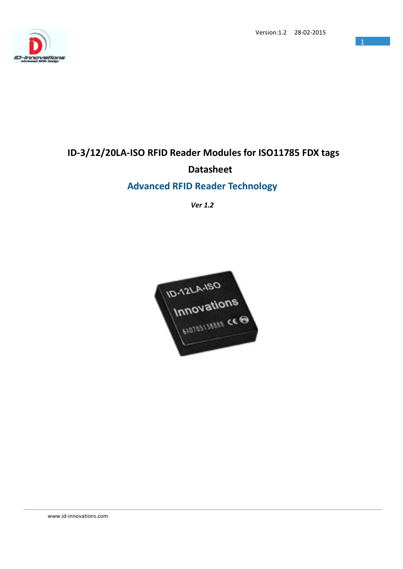



# **ID-3/12/20LA-ISO RFID Reader Modules for ISO11785 FDX tags Datasheet**

## **Advanced RFID Reader Technology**

*Ver 1.2*



www.id-innovations.com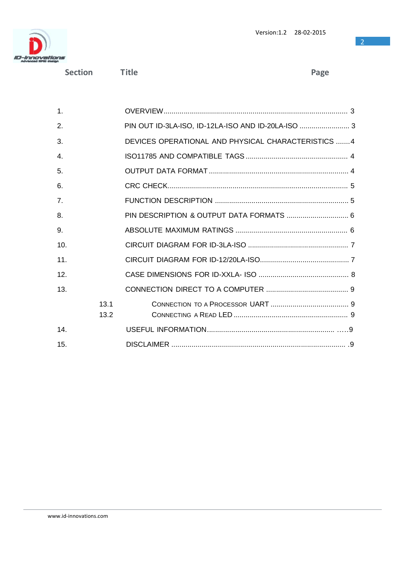

**Section Title Page**

| $\mathbf{1}$ . |      |                                                     |
|----------------|------|-----------------------------------------------------|
| 2.             |      |                                                     |
| 3.             |      | DEVICES OPERATIONAL AND PHYSICAL CHARACTERISTICS  4 |
| $\mathbf{4}$ . |      |                                                     |
| 5.             |      |                                                     |
| 6.             |      |                                                     |
| 7 <sub>1</sub> |      |                                                     |
| 8.             |      |                                                     |
| 9.             |      |                                                     |
| 10.            |      |                                                     |
| 11.            |      |                                                     |
| 12.            |      |                                                     |
| 13.            |      |                                                     |
|                | 13.1 |                                                     |
|                | 13.2 |                                                     |
| 14.            |      |                                                     |
| 15.            |      |                                                     |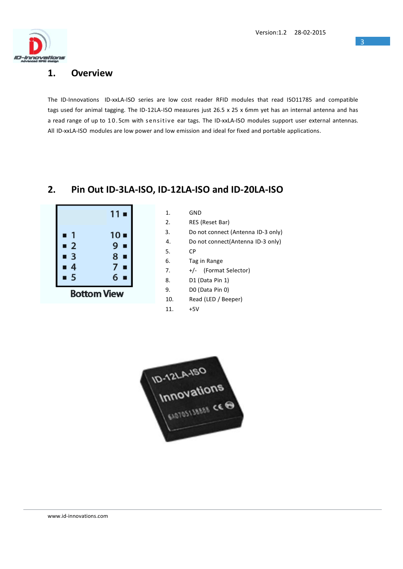

#### **1. Overview**

The ID-Innovations ID-xxLA-ISO series are low cost reader RFID modules that read ISO11785 and compatible tags used for animal tagging. The ID-12LA-ISO measures just 26.5 x 25 x 6mm yet has an internal antenna and has a read range of up to 10.5cm with sensitive ear tags. The ID-xxLA-ISO modules support user external antennas. All ID-xxLA-ISO modules are low power and low emission and ideal for fixed and portable applications.

### **2. Pin Out ID-3LA-ISO, ID-12LA-ISO and ID-20LA-ISO**

 $1<sub>l</sub>$ 

|                     | $11 -$              |  |
|---------------------|---------------------|--|
| $\blacksquare$<br>П | $10 -$              |  |
| $\blacksquare$ 2    | $9 -$               |  |
| $\blacksquare$ 3    | $8 -$               |  |
| $\overline{4}$<br>П | 7 <sup>1</sup><br>п |  |
| 5                   | 6                   |  |
| <b>Bottom View</b>  |                     |  |

2. RES (Reset Bar)

- 3. Do not connect (Antenna ID-3 only)
- 4. Do not connect(Antenna ID-3 only)
- 5. CP
- 6. Tag in Range
- 7. +/- (Format Selector)
- 8. D1 (Data Pin 1)
- 9. D0 (Data Pin 0)
- 10. Read (LED / Beeper)
- 11. +5V

ID-12LA-ISO<br>Innovations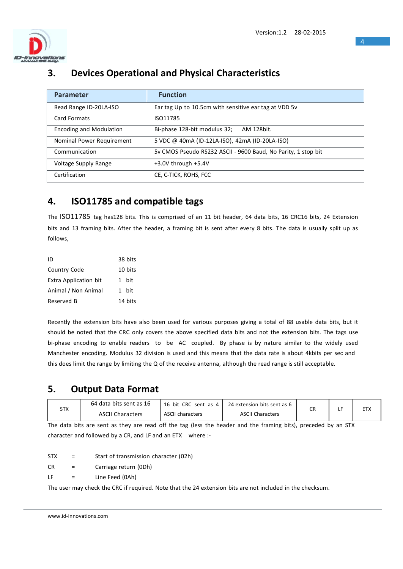

## **3. Devices Operational and Physical Characteristics**

| <b>Parameter</b>               | <b>Function</b>                                               |
|--------------------------------|---------------------------------------------------------------|
| Read Range ID-20LA-ISO         | Ear tag Up to 10.5cm with sensitive ear tag at VDD 5v         |
| <b>Card Formats</b>            | ISO11785                                                      |
| <b>Encoding and Modulation</b> | Bi-phase 128-bit modulus 32;<br>AM 128bit.                    |
| Nominal Power Requirement      | 5 VDC @ 40mA (ID-12LA-ISO), 42mA (ID-20LA-ISO)                |
| Communication                  | 5y CMOS Pseudo RS232 ASCII - 9600 Baud, No Parity, 1 stop bit |
| Voltage Supply Range           | $+3.0V$ through $+5.4V$                                       |
| Certification                  | CE, C-TICK, ROHS, FCC                                         |

## **4. ISO11785 and compatible tags**

The ISO11785 tag has128 bits. This is comprised of an 11 bit header, 64 data bits, 16 CRC16 bits, 24 Extension bits and 13 framing bits. After the header, a framing bit is sent after every 8 bits. The data is usually split up as follows,

| ID                           | 38 bits |
|------------------------------|---------|
| Country Code                 | 10 bits |
| <b>Extra Application bit</b> | 1 hit   |
| Animal / Non Animal          | 1 hit   |
| Reserved B                   | 14 bits |

Recently the extension bits have also been used for various purposes giving a total of 88 usable data bits, but it should be noted that the CRC only covers the above specified data bits and not the extension bits. The tags use bi-phase encoding to enable readers to be AC coupled. By phase is by nature similar to the widely used Manchester encoding. Modulus 32 division is used and this means that the data rate is about 4kbits per sec and this does limit the range by limiting the Q of the receive antenna, although the read range is still acceptable.

## **5. Output Data Format**

| STX | 64 data bits sent as 16 | 16 bit CRC sent as 4  <br>24 extension bits sent as 6 |                         |           | <b>ETX</b> |
|-----|-------------------------|-------------------------------------------------------|-------------------------|-----------|------------|
|     | <b>ASCII Characters</b> | <b>ASCII characters</b>                               | <b>ASCII Characters</b> | <b>CR</b> |            |

The data bits are sent as they are read off the tag (less the header and the framing bits), preceded by an STX character and followed by a CR, and LF and an ETX where :-

STX = Start of transmission character (02h)

CR = Carriage return (0Dh)

LF = Line Feed (0Ah)

The user may check the CRC if required. Note that the 24 extension bits are not included in the checksum.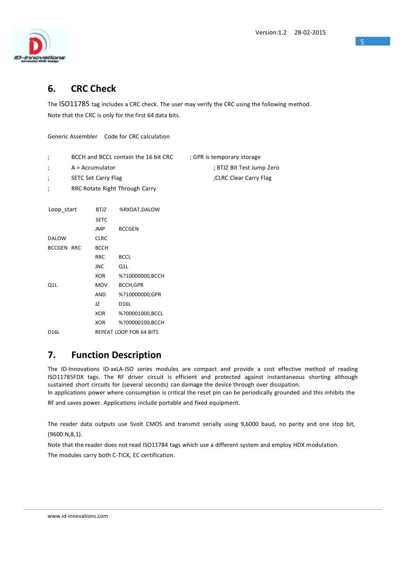

## **6. CRC Check**

The ISO11785 tag includes a CRC check. The user may verify the CRC using the following method. Note that the CRC is only for the first 64 data bits.

Generic Assembler Code for CRC calculation

| BCCH and BCCL contain the 16 bit CRC | ; GPR is temporary storage |
|--------------------------------------|----------------------------|
|                                      |                            |

; A = Accumulator ; BTJZ Bit Test Jump Zero

;CLRC Clear Carry Flag

- 
- ; SETC Set Carry Flag
- ; RRC Rotate Right Through Carry

| Loop start        | <b>BTJZ</b> | %RXDAT, DALOW           |
|-------------------|-------------|-------------------------|
|                   | <b>SETC</b> |                         |
|                   | <b>JMP</b>  | <b>BCCGEN</b>           |
| <b>DALOW</b>      | <b>CLRC</b> |                         |
| <b>BCCGEN RRC</b> | <b>BCCH</b> |                         |
|                   | <b>RRC</b>  | <b>BCCL</b>             |
|                   | JNC         | Q1L                     |
|                   | XOR         | %?10000000, BCCH        |
| Q1L               | <b>MOV</b>  | <b>BCCH,GPR</b>         |
|                   | AND         | %?10000000.GPR          |
|                   | JZ          | D <sub>16</sub> L       |
|                   | XOR         | %?00001000,BCCL         |
|                   | <b>XOR</b>  | %?00000100,BCCH         |
| D <sub>16</sub> L |             | REPEAT LOOP FOR 64 BITS |

## **7. Function Description**

The ID-Innovations ID-xxLA-ISO series modules are compact and provide a cost effective method of reading ISO11785FDX tags. The RF driver circuit is efficient and protected against instantaneous shorting although sustained short circuits for (several seconds) can damage the device through over dissipation.

In applications power where consumption is critical the reset pin can be periodically grounded and this inhibits the RF and saves power. Applications include portable and fixed equipment.

The reader data outputs use 5volt CMOS and transmit serially using 9,6000 baud, no parity and one stop bit, (9600:N,8,1).

Note that the reader does not read ISO11784 tags which use a different system and employ HDX modulation.

The modules carry both C-TICK, EC certification.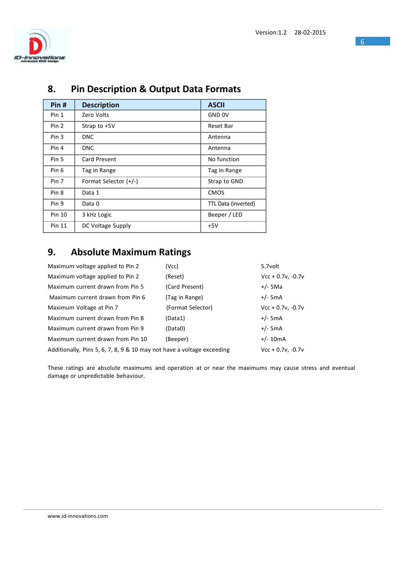

| Pin#          | <b>Description</b>    | <b>ASCII</b>        |
|---------------|-----------------------|---------------------|
| Pin 1         | Zero Volts            | <b>GND OV</b>       |
| Pin 2         | Strap to +5V          | Reset Bar           |
| Pin 3         | <b>DNC</b>            | Antenna             |
| Pin 4         | <b>DNC</b>            | Antenna             |
| Pin 5         | Card Present          | No function         |
| Pin 6         | Tag in Range          | Tag in Range        |
| Pin 7         | Format Selector (+/-) | Strap to GND        |
| Pin 8         | Data 1                | <b>CMOS</b>         |
| Pin 9         | Data 0                | TTL Data (inverted) |
| Pin 10        | 3 kHz Logic           | Beeper / LED        |
| <b>Pin 11</b> | DC Voltage Supply     | $+5V$               |

## **8. Pin Description & Output Data Formats**

## **9. Absolute Maximum Ratings**

| Maximum voltage applied to Pin 2                                       | (Vcc)             | 5.7volt             |
|------------------------------------------------------------------------|-------------------|---------------------|
| Maximum voltage applied to Pin 2                                       | (Reset)           | $Vcc + 0.7v, -0.7v$ |
| Maximum current drawn from Pin 5                                       | (Card Present)    | $+/-$ 5Ma           |
| Maximum current drawn from Pin 6                                       | (Tag in Range)    | $+/-$ 5mA           |
| Maximum Voltage at Pin 7                                               | (Format Selector) | $Vcc + 0.7v, -0.7v$ |
| Maximum current drawn from Pin 8                                       | (Data1)           | $+/-$ 5mA           |
| Maximum current drawn from Pin 9                                       | (Data0)           | $+/-$ 5mA           |
| Maximum current drawn from Pin 10                                      | (Beeper)          | $+/- 10mA$          |
| Additionally, Pins 5, 6, 7, 8, 9 & 10 may not have a voltage exceeding |                   | $Vcc + 0.7v, -0.7v$ |

These ratings are absolute maximums and operation at or near the maximums may cause stress and eventual damage or unpredictable behaviour.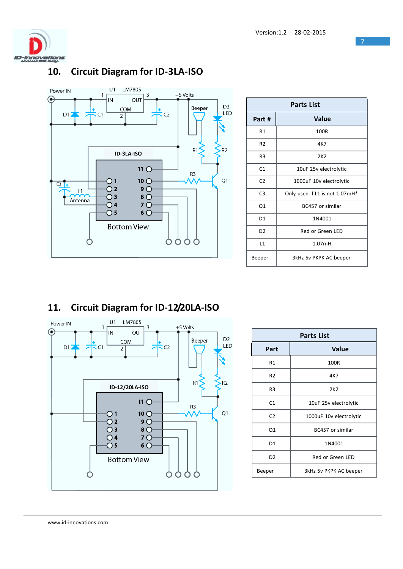

#### U1 LM7805 Power IN  $\overline{1}$ +5 Volts  $\overline{\mathbf{3}}$  $\overline{N}$ OUT ِ ⊜ D<sub>2</sub> Beeper COM  $\overline{C}$ LED  $D1$  $\overline{C}$  $\overline{2}$  $R1$  $R2$ **ID-3LA-ISO**  $11^\circ$ R<sub>3</sub>  $10^\circ$ Q1  $\bigcirc$  1  $G_{\frac{1}{2}}$  $9^{\circ}$  $\overline{O}$  2  $L1$  $8\,\overline{\smash{O}}$  $\overline{O}$  3 Antenna  $\overline{O}$  4  $7^\circ$  $\overline{O}$  5  $6^{\circ}$ **Bottom View**  $000$ O O

| Parts List     |                                |  |
|----------------|--------------------------------|--|
| Part #         | Value                          |  |
| R1             | 100R                           |  |
| R <sub>2</sub> | 4K7                            |  |
| R <sub>3</sub> | 2K <sub>2</sub>                |  |
| C1             | 10uF 25v electrolytic          |  |
| C <sub>2</sub> | 1000uF 10v electrolytic        |  |
| C <sub>3</sub> | Only used if L1 is not 1.07mH* |  |
| Q1             | BC457 or similar               |  |
| D <sub>1</sub> | 1N4001                         |  |
| D <sub>2</sub> | Red or Green LED               |  |
| L1             | 1.07mH                         |  |
| Beeper         | 3kHz 5v PKPK AC beeper         |  |

## **11. Circuit Diagram for ID-12/20LA-ISO**



| <b>Parts List</b> |                         |  |  |
|-------------------|-------------------------|--|--|
| Part              | <b>Value</b>            |  |  |
| R1                | 100R                    |  |  |
| R <sub>2</sub>    | 4K7                     |  |  |
| R3                | 2K <sub>2</sub>         |  |  |
| C1                | 10uF 25v electrolytic   |  |  |
| C <sub>2</sub>    | 1000uF 10v electrolytic |  |  |
| Q1                | BC457 or similar        |  |  |
| D1                | 1N4001                  |  |  |
| D <sub>2</sub>    | Red or Green LED        |  |  |
| Beeper            | 3kHz 5v PKPK AC beeper  |  |  |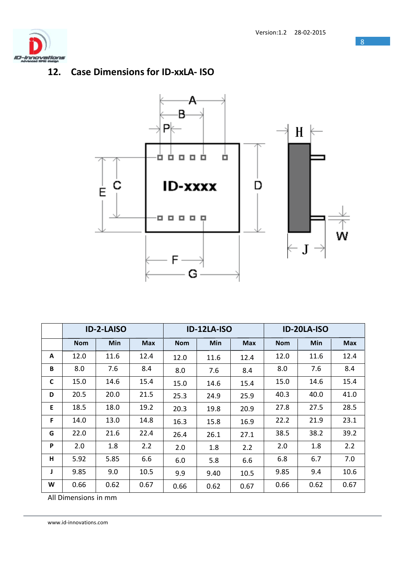

## **12. Case Dimensions for ID-xxLA- ISO**



|   | <b>ID-2-LAISO</b> |            |            | <b>ID-12LA-ISO</b> |      |            | ID-20LA-ISO |      |            |
|---|-------------------|------------|------------|--------------------|------|------------|-------------|------|------------|
|   | <b>Nom</b>        | <b>Min</b> | <b>Max</b> | <b>Nom</b>         | Min  | <b>Max</b> | <b>Nom</b>  | Min  | <b>Max</b> |
| A | 12.0              | 11.6       | 12.4       | 12.0               | 11.6 | 12.4       | 12.0        | 11.6 | 12.4       |
| B | 8.0               | 7.6        | 8.4        | 8.0                | 7.6  | 8.4        | 8.0         | 7.6  | 8.4        |
| C | 15.0              | 14.6       | 15.4       | 15.0               | 14.6 | 15.4       | 15.0        | 14.6 | 15.4       |
| D | 20.5              | 20.0       | 21.5       | 25.3               | 24.9 | 25.9       | 40.3        | 40.0 | 41.0       |
| E | 18.5              | 18.0       | 19.2       | 20.3               | 19.8 | 20.9       | 27.8        | 27.5 | 28.5       |
| F | 14.0              | 13.0       | 14.8       | 16.3               | 15.8 | 16.9       | 22.2        | 21.9 | 23.1       |
| G | 22.0              | 21.6       | 22.4       | 26.4               | 26.1 | 27.1       | 38.5        | 38.2 | 39.2       |
| P | 2.0               | 1.8        | 2.2        | 2.0                | 1.8  | 2.2        | 2.0         | 1.8  | 2.2        |
| н | 5.92              | 5.85       | 6.6        | 6.0                | 5.8  | 6.6        | 6.8         | 6.7  | 7.0        |
| J | 9.85              | 9.0        | 10.5       | 9.9                | 9.40 | 10.5       | 9.85        | 9.4  | 10.6       |
| W | 0.66              | 0.62       | 0.67       | 0.66               | 0.62 | 0.67       | 0.66        | 0.62 | 0.67       |

All Dimensions in mm

www.id-innovations.com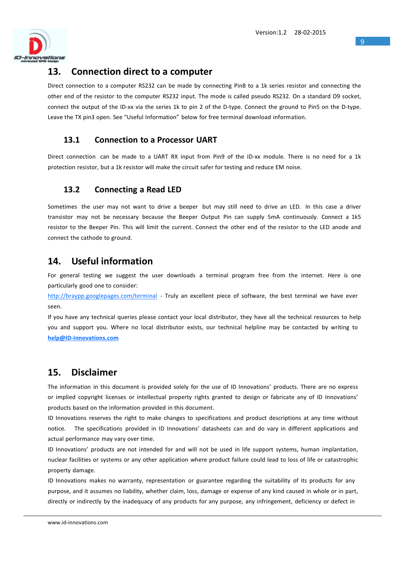

### **13. Connection direct to a computer**

Direct connection to a computer RS232 can be made by connecting Pin8 to a 1k series resistor and connecting the other end of the resistor to the computer RS232 input. The mode is called pseudo RS232. On a standard D9 socket, connect the output of the ID-xx via the series 1k to pin 2 of the D-type. Connect the ground to Pin5 on the D-type. Leave the TX pin3 open. See "Useful Information" below for free terminal download information.

#### **13.1 Connection to a Processor UART**

Direct connection can be made to a UART RX input from Pin9 of the ID-xx module. There is no need for a 1k protection resistor, but a 1k resistor will make the circuit safer for testing and reduce EM noise.

### **13.2 Connecting a Read LED**

Sometimes the user may not want to drive a beeper but may still need to drive an LED. In this case a driver transistor may not be necessary because the Beeper Output Pin can supply 5mA continuously. Connect a 1k5 resistor to the Beeper Pin. This will limit the current. Connect the other end of the resistor to the LED anode and connect the cathode to ground.

## **14. Useful information**

For general testing we suggest the user downloads a terminal program free from the internet. Here is one particularly good one to consider:

<http://braypp.googlepages.com/terminal> - Truly an excellent piece of software, the best terminal we have ever seen.

If you have any technical queries please contact your local distributor, they have all the technical resources to help you and support you. Where no local distributor exists, our technical helpline may be contacted by writing to **[help@ID-Innovations.com](mailto:help@ID-Innovations.com)**

## **15. Disclaimer**

The information in this document is provided solely for the use of ID Innovations' products. There are no express or implied copyright licenses or intellectual property rights granted to design or fabricate any of ID Innovations' products based on the information provided in this document.

ID Innovations reserves the right to make changes to specifications and product descriptions at any time without notice. The specifications provided in ID Innovations' datasheets can and do vary in different applications and actual performance may vary over time.

ID Innovations' products are not intended for and will not be used in life support systems, human implantation, nuclear facilities or systems or any other application where product failure could lead to loss of life or catastrophic property damage.

ID Innovations makes no warranty, representation or guarantee regarding the suitability of its products for any purpose, and it assumes no liability, whether claim, loss, damage or expense of any kind caused in whole or in part, directly or indirectly by the inadequacy of any products for any purpose, any infringement, deficiency or defect in